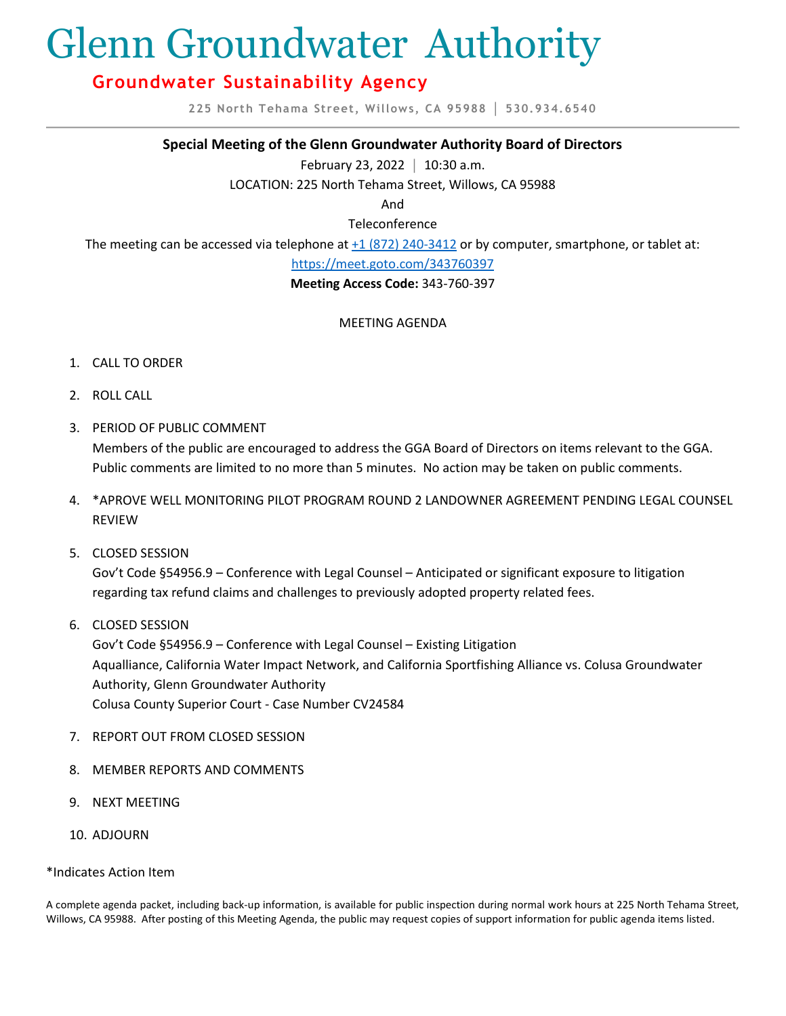# Glenn Groundwater Authority

## **Groundwater Sustainability Agency**

**225 North Tehama Street, Willows, CA 95988 │ 530.934.6540**

### **Special Meeting of the Glenn Groundwater Authority Board of Directors**

February 23, 2022 **│** 10:30 a.m.

LOCATION: 225 North Tehama Street, Willows, CA 95988

And

Teleconference

The meeting can be accessed via telephone at [+1 \(872\) 240-3412](tel:+18722403412,,343760397) or by computer, smartphone, or tablet at:

<https://meet.goto.com/343760397>

**Meeting Access Code:** 343-760-397

#### MEETING AGENDA

- 1. CALL TO ORDER
- 2. ROLL CALL
- 3. PERIOD OF PUBLIC COMMENT

Members of the public are encouraged to address the GGA Board of Directors on items relevant to the GGA. Public comments are limited to no more than 5 minutes. No action may be taken on public comments.

- 4. \*APROVE WELL MONITORING PILOT PROGRAM ROUND 2 LANDOWNER AGREEMENT PENDING LEGAL COUNSEL REVIEW
- 5. CLOSED SESSION

Gov't Code §54956.9 – Conference with Legal Counsel – Anticipated or significant exposure to litigation regarding tax refund claims and challenges to previously adopted property related fees.

6. CLOSED SESSION

Gov't Code §54956.9 – Conference with Legal Counsel – Existing Litigation Aqualliance, California Water Impact Network, and California Sportfishing Alliance vs. Colusa Groundwater Authority, Glenn Groundwater Authority Colusa County Superior Court - Case Number CV24584

- 7. REPORT OUT FROM CLOSED SESSION
- 8. MEMBER REPORTS AND COMMENTS
- 9. NEXT MEETING
- 10. ADJOURN

#### \*Indicates Action Item

A complete agenda packet, including back-up information, is available for public inspection during normal work hours at 225 North Tehama Street, Willows, CA 95988. After posting of this Meeting Agenda, the public may request copies of support information for public agenda items listed.